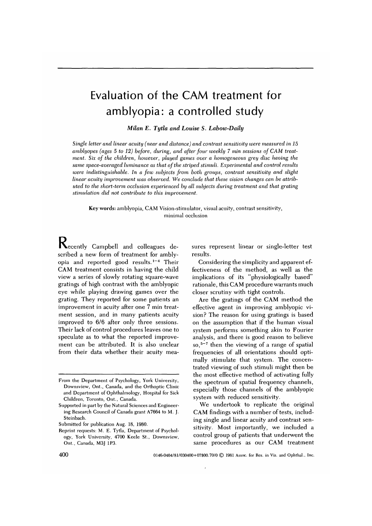# Evaluation of the CAM treatment for amblyopia: a controlled study

*Milan E. Tytla and Louise S. Labow-Daily*

*Single letter and linear acuity (near and distance) and contrast sensitivity were measured in 15 amblyopes (ages 5 to 12) before, during, and after four weekly 7 min sessions of CAM treatment. Six of the children, however, played games over a homogeneous grey disc having the same space-averaged luminance as that of the striped stimuli. Experimental and. control results were indistinguishable. In a few subjects from both groups, contrast sensitivity and slight linear acuity improvement was observed. We conclude that these vision changes can be attributed to the short-term occlusion experienced by all subjects during treatment and. that grating stimulation did not contribute to this improvement.*

Key words: amblyopia, CAM Vision-stimulator, visual acuity, contrast sensitivity, minimal occlusion

Kecently Campbell and colleagues described a new form of treatment for amblyopia and reported good results.<sup>1-4</sup> Their CAM treatment consists in having the child view a series of slowly rotating square-wave gratings of high contrast with the amblyopic eye while playing drawing games over the grating. They reported for some patients an improvement in acuity after one 7 min treatment session, and in many patients acuity improved to 6/6 after only three sessions. Their lack of control procedures leaves one to speculate as to what the reported improvement can be attributed. It is also unclear from their data whether their acuity mea-

sures represent linear or single-letter test results.

Considering the simplicity and apparent effectiveness of the method, as well as the implications of its "physiologically based" rationale, this CAM procedure warrants much closer scrutiny with tight controls.

Are the gratings of the CAM method the effective agent in improving amblyopic vision? The reason for using gratings is based on the assumption that if the human visual system performs something akin to Fourier analysis, and there is good reason to believe so,<sup>5-7</sup> then the viewing of a range of spatial frequencies of all orientations should optimally stimulate that system. The concentrated viewing of such stimuli might then be the most effective method of activating fully the spectrum of spatial frequency channels, especially those channels of the amblyopic system with reduced sensitivity.

We undertook to replicate the original CAM findings with a number of tests, including single and linear acuity and contrast sensitivity. Most importantly, we included a control group of patients that underwent the same procedures as our CAM treatment

400 0146-0404/81/030400+07\$00.70/0 © 1981 Assoc. for Res. in Vis. and Ophthal., Inc.

From the Department of Psychology, York University, Downsview, Ont., Canada, and the Orthoptic Clinic and Department of Ophthalmology, Hospital for Sick Children, Toronto, Ont., Canada.

Supported in part by the Natural Sciences and Engineering Research Council of Canada grant A7664 to M. J. Steinbach.

Submitted for publication Aug. 18, 1980.

Reprint requests: M. E. Tytla, Department of Psychology, York University, 4700 Keele St., Downsview, Ont., Canada, M3J 1P3.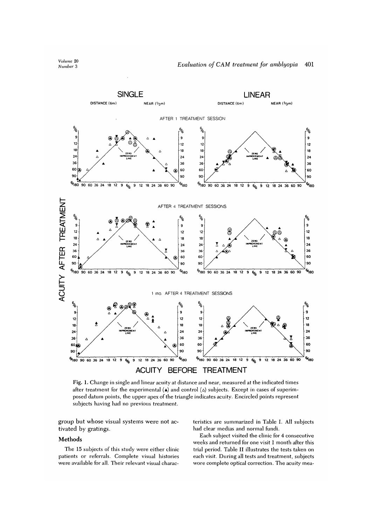



Fig. 1. Change in single and linear acuity at distance and near, measured at the indicated times after treatment for the experimental  $(\triangle)$  and control  $(\triangle)$  subjects. Except in cases of superimposed datum points, the upper apex of the triangle indicates acuity. Encircled points represent subjects having had no previous treatment.

group but whose visual systems were not activated by gratings.

## **Methods**

The 15 subjects of this study were either clinic patients or referrals. Complete visual histories were available for all. Their relevant visual characteristics are summarized in Table I. All subjects had clear medias and normal fundi.

Each subject visited the clinic for 4 consecutive weeks and returned for one visit 1 month after this trial period. Table II illustrates the tests taken on each visit. During all tests and treatment, subjects wore complete optical correction. The acuity mea-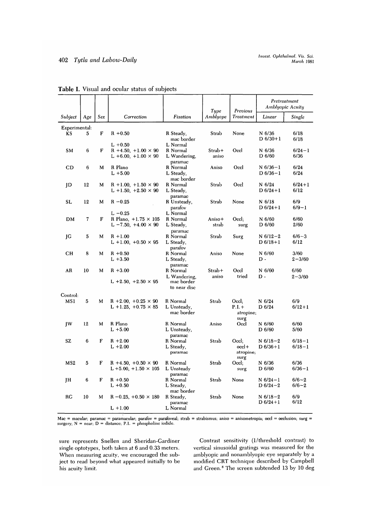|                        |           |     |                                                                         |                                               | Tupe              | Previous                                 | Amblyopic Acuity             | Pretreatment           |  |
|------------------------|-----------|-----|-------------------------------------------------------------------------|-----------------------------------------------|-------------------|------------------------------------------|------------------------------|------------------------|--|
| Subject                | Age       | Sex | Correction                                                              | Fixation                                      | Amblyope          | <b>Treatment</b>                         | Linear                       | Single                 |  |
| Experimental:          |           |     |                                                                         |                                               |                   |                                          |                              |                        |  |
| KS                     | 5         | F   | $R + 0.50$                                                              | R Steady,<br>mac border                       | Strab             | None                                     | N 6/36<br>$D 6/30 + 1$       | 6/18<br>6/18           |  |
| <b>SM</b>              | 6         | F   | $L + 0.50$<br>$R + 4.50, +1.00 \times 90$<br>L +6.00, +1.00 $\times$ 90 | L Normal<br>R Normal<br>L Wandering,          | $Strab+$<br>aniso | Occl                                     | $N$ 6/36<br>D 6/60           | $6/24 - 1$<br>6/36     |  |
| CD                     | 6         | M   | R Plano<br>$L + 5.00$                                                   | paramac<br>R Normal<br>L Steady,              | Aniso             | Occl                                     | $N$ 6/36-1<br>$D_6/36-1$     | 6/24<br>6/24           |  |
| ID                     | 12        | M   | $R + 1.00$ , $+1.50 \times 90$<br>L +1.50, +2.50 $\times$ 90            | mac border<br>R Normal<br>L Steady,           | Strab             | Occl                                     | $N$ 6/24<br>$D 6/24 + 1$     | $6/24 + 1$<br>6/12     |  |
| SL.                    | 12        | M   | $R - 0.25$                                                              | paramac<br>R Unsteady,<br>parafov             | Strab             | None                                     | $N$ 6/18<br>$D 6/24 + 1$     | 6/9<br>$6/9 - 1$       |  |
| <b>DM</b>              | 7         | F   | $L - 0.25$<br>R Plano, $+1.75 \times 105$<br>L $-7.50, +4.00 \times 90$ | L Normal<br>R Normal<br>L Steady,<br>paramac  | Aniso+<br>strab   | Occl:<br>surg                            | N 6/60<br>D 6/60             | 6/60<br>2/60           |  |
| ĮС                     | 5         | M   | $R + 1.00$<br>L +1.00, +0.50 $\times$ 95                                | R Normal<br>L Steady,<br>parafov              | Strab             | Surg                                     | $N$ 6/12-2<br>$D_6/18+1$     | $6/6 - 3$<br>6/12      |  |
| CН                     | 8         | M   | $R + 0.50$<br>$L + 3.50$                                                | R Normal<br>L Steady,<br>paramac              | Aniso             | None                                     | $N$ 6/60<br>$D -$            | 3/60<br>$2 - 3/60$     |  |
| AR                     | 10        | м   | $R + 3.00$<br>L +2.50, +2.50 $\times$ 95                                | <b>R</b> Normal<br>L Wandering.<br>mac border | $Strab+$<br>aniso | Occl<br>tried                            | $N$ 6/60<br>$D -$            | 6/60<br>$2 - 3/60$     |  |
| Control:               |           |     |                                                                         | to near disc                                  |                   |                                          |                              |                        |  |
| MS1                    | ${\bf 5}$ | M   | R +2.00, +0.25 $\times$ 90<br>L +1.25, +0.75 $\times$ 85                | R Normal<br>L Unsteady,<br>mac border         | Strab             | $O$ ccl;<br>$P.I.+$<br>atropine;<br>surg | $N$ 6/24<br>D 6/24           | 6/9<br>$6/12 + 1$      |  |
| $\mathsf{I}\mathsf{W}$ | 12        | M   | R Plano<br>$L + 5.00$                                                   | R Normal<br>L Unsteady,<br>paramac            | Aniso             | Occl                                     | $N$ 6/60<br>$D$ 6/60         | 6/60<br>5/60           |  |
| SZ                     | 6         | F   | $R + 2.00$<br>$L + 2.00$                                                | R Normal<br>L Steady,<br>paramac              | Strab             | Occl:<br>$occl +$<br>atropine;<br>surg   | $N$ 6/18-2<br>$D 6/36 + 1$   | $6/18 - 1$<br>$6/18-1$ |  |
| MS <sub>2</sub>        | 5         | F   | R +4.50, +0.50 $\times$ 90<br>$L + 5.00, +1.50 \times 105$              | R Normal<br>L Unsteady<br>paramac             | Strab             | $O$ ccl:<br>surg                         | N 6/36<br>D 6/60             | 6/36<br>$6/36 - 1$     |  |
| <b>IH</b>              | 6         | F   | $R + 0.50$<br>$L + 0.50$                                                | R Normal<br>L Steady,                         | Strab             | None                                     | $N$ 6/24 - 1<br>$D 6/24 - 2$ | $6/6 - 2$<br>$6/6 - 2$ |  |
| RG                     | 10        | M   | $R - 0.25$ , $+0.50 \times 180$                                         | mac border<br>R Steady.<br>paramac            | Strab             | None                                     | $N$ 6/18 – 2<br>$D 6/24+1$   | 6/9<br>6/12            |  |
|                        |           |     | $L + 1.00$                                                              | L Normal                                      |                   |                                          |                              |                        |  |

# **Table I.** Visual and ocular status of subjects

Mac = macular; paramac = paramacular; parafov = parafoveal; strab = strabismus; aniso = anisometropia; occl = occlusion; surg =<br>surgery; N = near; D = distance; P.I. = phospholine iodide.

sure represents Snellen and Sheridan-Gardiner single optotypes, both taken at 6 and 0.33 meters. When measuring acuity, we encouraged the subject to read beyond what appeared initially to be his acuity limit.

Contrast sensitivity (I/threshold contrast) to vertical sinusoidal gratings was measured for the amblyopic and nonamblyopic eye separately by a modified CRT technique described by Campbell and Green.<sup>8</sup> The screen subtended 13 by 10 deg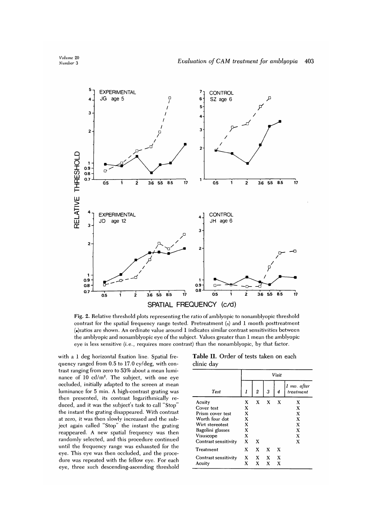

Fig. 2. Relative threshold plots representing the ratio of amblyopic to nonamblyopic threshold contrast for the spatial frequency range tested. Pretreatment (•) and 1 month posttreatment (•)ratios are shown. An ordinate value around 1 indicates similar contrast sensitivities between the amblyopic and nonamblyopic eye of the subject. Values greater than 1 mean the amblyopic eye is less sensitive (i.e., requires more contrast) than the nonamblyopic, by that factor.

with a 1 deg horizontal fixation line. Spatial frequency ranged from 0.5 to 17.0 cy/deg, with contrast ranging from zero to 53% about a mean luminance of  $10 \text{ cd/m}^2$ . The subject, with one eye occluded, initially adapted to the screen at mean luminance for 5 min. A high-contrast grating was then presented, its contrast logarithmically reduced, and it was the subject's task to call "Stop" the instant the grating disappeared. With contrast at zero, it was then slowly increased and the subject again called "Stop" the instant the grating reappeared. A new spatial frequency was then randomly selected, and this procedure continued until the frequency range was exhausted for the eye. This eye was then occluded, and the procedure was repeated with the fellow eye. For each eye, three such descending-ascending threshold

**Table II.** Order of tests taken on each clinic day

|                      | Visit |   |   |                           |                          |  |  |
|----------------------|-------|---|---|---------------------------|--------------------------|--|--|
| Test                 | 1     | 2 | 3 | 4                         | 1 mo. after<br>treatment |  |  |
| Acuity               | x     | X | X | х                         | x                        |  |  |
| Cover test           | X     |   |   |                           | X                        |  |  |
| Prism cover test     | X     |   |   |                           | X                        |  |  |
| Worth four dot       | X     |   |   |                           | X                        |  |  |
| Wirt stereotest      | X     |   |   |                           | X                        |  |  |
| Bagolini glasses     | X     |   |   |                           | x                        |  |  |
| Visuscope            | X     |   |   |                           | x                        |  |  |
| Contrast sensitivity | X     | X |   |                           | х                        |  |  |
| Treatment            | x     | X | X | x                         |                          |  |  |
| Contrast sensitivity | X     | X | X | $\boldsymbol{\mathrm{x}}$ |                          |  |  |
| Acuity               | x     | X | x | X                         |                          |  |  |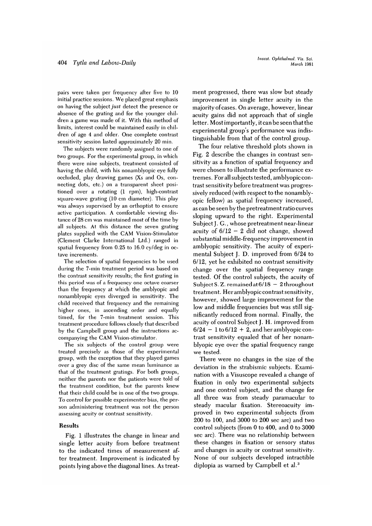pairs were taken per frequency after five to 10 initial practice sessions. We placed great emphasis on having the subject *just* detect the presence or absence of the grating and for the younger children a game was made of it. With this method of limits, interest could be maintained easily in children of age 4 and older. One complete contrast sensitivity session lasted approximately 20 min.

The subjects were randomly assigned to one of two groups. For the experimental group, in which there were nine subjects, treatment consisted of having the child, with his nonamblyopic eve fully occluded, play drawing games (Xs and Os, connecting dots, etc.) on a transparent sheet positioned over a rotating (1 rpm), high-contrast square-wave grating (10 cm diameter). This play was always supervised by an orthoptist to ensure active participation. A comfortable viewing distance of 28 cm was maintained most of the time by all subjects. At this distance the seven grating plates supplied with the CAM Vision-Stimulator (Clement Clarke International Ltd.) ranged in spatial frequency from 0.25 to 16.0 cy/deg in octave increments.

The selection of spatial frequencies to be used during the 7-min treatment period was based on the contrast sensitivity results; the first grating in this period was of a frequency one octave coarser than the frequency at which the amblyopic and nonamblyopic eyes diverged in sensitivity. The child received that frequency and the remaining higher ones, in ascending order and equally timed, for the 7-min treatment session. This treatment procedure follows closely that described by the Campbell group and the instructions accompanying the CAM Vision-stimulator.

The six subjects of the control group were treated precisely as those of the experimental group, with the exception that they played games over a grey disc of the same mean luminance as that of the treatment gratings. For both groups, neither the parents nor the patients were told of the treatment condition, but the parents knew that their child could be in one of the two groups. To control for possible experimenter bias, the person administering treatment was not the person assessing acuity or contrast sensitivity.

# Results

Fig. 1 illustrates the change in linear and single letter acuity from before treatment to the indicated times of measurement after treatment. Improvement is indicated by points lying above the diagonal lines. As treatment progressed, there was slow but steady improvement in single letter acuity in the majority of cases. On average, however, linear acuity gains did not approach that of single letter. Most importantly, it can be seen that the experimental group's performance was indistinguishable from that of the control group.

The four relative threshold plots shown in Fig. 2 describe the changes in contrast sensitivity as a function of spatial frequency and were chosen to illustrate the performance extremes. For all subjects tested, amblyopiccontrast sensitivity before treatment was progressively reduced (with respect to the nonamblyopic fellow) as spatial frequency increased, as can be seen by the pretreatment ratio curves sloping upward to the right. Experimental Subject J. G., whose pretreatment near-linear acuity of  $6/12 - 2$  did not change, showed substantial middle-frequency improvement in amblyopic sensitivity. The acuity of experimental Subject J. D. improved from 6/24 to 6/12, yet he exhibited no contrast sensitivity change over the spatial frequency range tested. Of the control subjects, the acuity of Subject S. Z. remained at  $6/18 - 2$  throughout treatment. Her amblyopic contrast sensitivity, however, showed large improvement for the low and middle frequencies but was still significantly reduced from normal. Finally, the acuity of control Subject J. H. improved from  $6/24 - 1$  to  $6/12 + 2$ , and her amblyopic contrast sensitivity equaled that of her nonamblyopic eye over the spatial frequency range we tested.

There were no changes in the size of the deviation in the strabismic subjects. Examination with a Visuscope revealed a change of fixation in only two experimental subjects and one control subject, and the change for all three was from steady paramacular to steady macular fixation. Stereoacuity improved in two experimental subjects (from 200 to 100, and 3000 to 200 sec arc) and two control subjects (from 0 to 400, and 0 to 3000 sec arc). There was no relationship between these changes in fixation or sensory status and changes in acuity or contrast sensitivity. None of our subjects developed intractible diplopia as warned by Campbell et al.<sup>3</sup>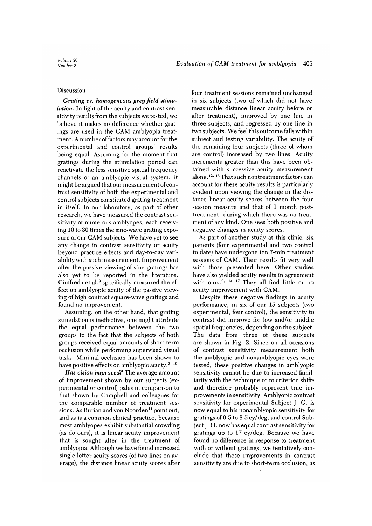# **Discussion**

*Grating vs. homogeneous grey field stimulation.* In light of the acuity and contrast sensitivity results from the subjects we tested, we believe it makes no difference whether gratings are used in the CAM amblyopia treatment. A number of factors may account for the experimental and control groups' results being equal. Assuming for the moment that gratings during the stimulation period can reactivate the less sensitive spatial frequency channels of an amblyopic visual system, it might be argued that our measurement of contrast sensitivity of both the experimental and control subjects constituted grating treatment in itself. In our laboratory, as part of other research, we have measured the contrast sensitivity of numerous amblyopes, each receiving 10 to 30 times the sine-wave grating exposure of our CAM subjects. We have yet to see any change in contrast sensitivity or acuity beyond practice effects and day-to-day variability with such measurement. Improvement after the passive viewing of sine gratings has also yet to be reported in the literature. Ciuffreda et al.<sup>9</sup> specifically measured the effect on amblyopic acuity of the passive viewing of high contrast square-wave gratings and found no improvement.

Assuming, on the other hand, that grating stimulation is ineffective, one might attribute the equal performance between the two groups to the fact that the subjects of both groups received equal amounts of short-term occlusion while performing supervised visual tasks. Minimal occlusion has been shown to have positive effects on amblyopic acuity.<sup>3, 10</sup>

*Has vision improved?* The average amount of improvement shown by our subjects (experimental or control) pales in comparison to that shown by Campbell and colleagues for the comparable number of treatment sessions. As Burian and von Noorden<sup>11</sup> point out, and as is a common clinical practice, because most amblyopes exhibit substantial crowding (as do ours), it is linear acuity improvement that is sought after in the treatment of amblyopia. Although we have found increased single letter acuity scores (of two lines on average), the distance linear acuity scores after

four treatment sessions remained unchanged in six subjects (two of which did not have measurable distance linear acuity before or after treatment), improved by one line in three subjects, and regressed by one line in two subjects. We feel this outcome falls within subject and testing variability. The acuity of the remaining four subjects (three of whom are control) increased by two lines. Acuity increments greater than this have been obtained with successive acuity measurement alone. <sup>12,</sup> <sup>13</sup> That such nontreatment factors car account for these acuity results is particularly evident upon viewing the change in the distance linear acuity scores between the four session measure and that of 1 month posttreatment, during which there was no treatment of any kind. One sees both positive and negative changes in acuity scores.

As part of another study at this clinic, six patients (four experimental and two control to date) have undergone ten 7-min treatment sessions of CAM. Their results fit very well with those presented here. Other studies have also yielded acuity results in agreement with ours. **9, 14-17** They all find little or no acuity improvement with CAM.

Despite these negative findings in acuity performance, in six of our 15 subjects (two experimental, four control), the sensitivity to contrast did improve for low and/or middle spatial frequencies, depending on the subject. The data from three of these subjects are shown in Fig. 2. Since on all occasions of contrast sensitivity measurement both the amblyopic and nonamblyopic eyes were tested, these positive changes in amblyopic sensitivity cannot be due to increased familiarity with the technique or to criterion shifts and therefore probably represent true improvements in sensitivity. Amblyopic contrast sensitivity for experimental Subject J. G. is now equal to his nonamblyopic sensitivity for gratings of 0.5 to 8.5 cy/deg, and control Subject J. H. now has equal contrast sensitivity for gratings up to 17 cy/deg. Because we have found no difference in response to treatment with or without gratings, we tentatively conclude that these improvements in contrast sensitivity are due to short-term occlusion, as